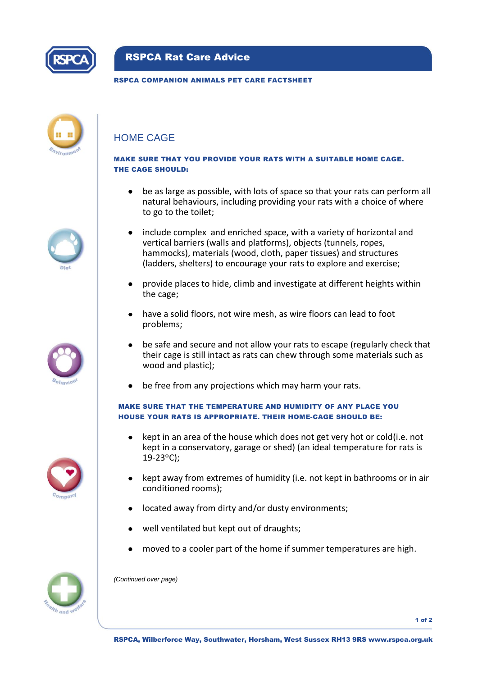

# RSPCA Rat Care Advice

### RSPCA COMPANION ANIMALS PET CARE FACTSHEET

| <b>hvironn</b> |  |
|----------------|--|



### MAKE SURE THAT YOU PROVIDE YOUR RATS WITH A SUITABLE HOME CAGE. THE CAGE SHOULD:

- be as large as possible, with lots of space so that your rats can perform all natural behaviours, including providing your rats with a choice of where to go to the toilet;
- include complex and enriched space, with a variety of horizontal and vertical barriers (walls and platforms), objects (tunnels, ropes, hammocks), materials (wood, cloth, paper tissues) and structures (ladders, shelters) to encourage your rats to explore and exercise;
- provide places to hide, climb and investigate at different heights within the cage;
- have a solid floors, not wire mesh, as wire floors can lead to foot problems;
- be safe and secure and not allow your rats to escape (regularly check that their cage is still intact as rats can chew through some materials such as wood and plastic):
- be free from any projections which may harm your rats.  $\bullet$

## MAKE SURE THAT THE TEMPERATURE AND HUMIDITY OF ANY PLACE YOU HOUSE YOUR RATS IS APPROPRIATE. THEIR HOME-CAGE SHOULD BE:

- kept in an area of the house which does not get very hot or cold(i.e. not kept in a conservatory, garage or shed) (an ideal temperature for rats is  $19-23^{\circ}$ C):
- kept away from extremes of humidity (i.e. not kept in bathrooms or in air conditioned rooms);
- located away from dirty and/or dusty environments;  $\bullet$
- well ventilated but kept out of draughts;
- moved to a cooler part of the home if summer temperatures are high.



*(Continued over page)*